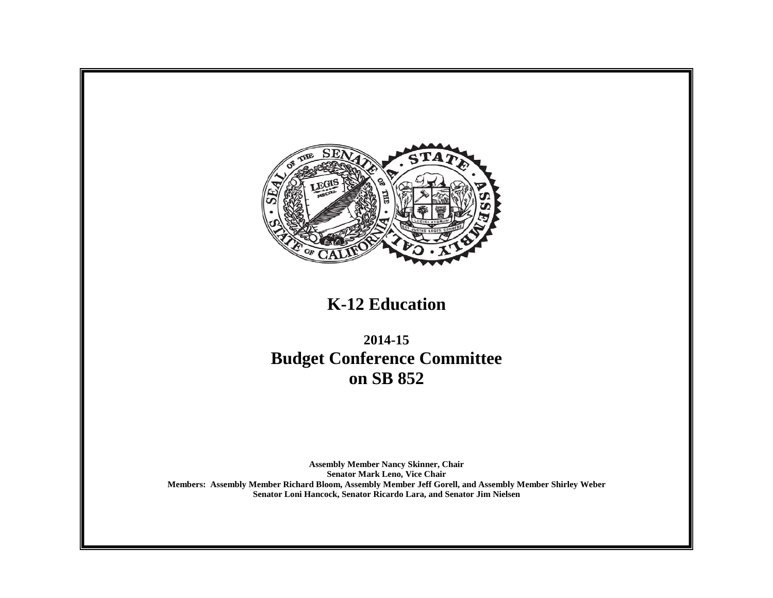

# **K-12 Education**

**2014-15 Budget Conference Committee on SB 852**

**Assembly Member Nancy Skinner, Chair Senator Mark Leno, Vice Chair Members: Assembly Member Richard Bloom, Assembly Member Jeff Gorell, and Assembly Member Shirley Weber Senator Loni Hancock, Senator Ricardo Lara, and Senator Jim Nielsen**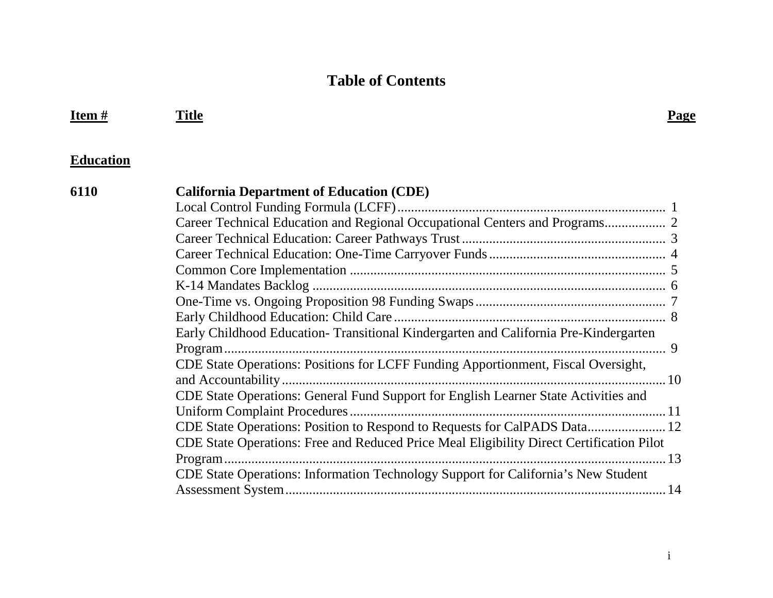## **Table of Contents**

| Item $#$         | <b>Title</b>                                                                             | <b>Page</b> |
|------------------|------------------------------------------------------------------------------------------|-------------|
| <b>Education</b> |                                                                                          |             |
| 6110             | <b>California Department of Education (CDE)</b>                                          |             |
|                  |                                                                                          |             |
|                  |                                                                                          |             |
|                  |                                                                                          |             |
|                  |                                                                                          |             |
|                  |                                                                                          |             |
|                  |                                                                                          |             |
|                  |                                                                                          |             |
|                  |                                                                                          |             |
|                  | Early Childhood Education-Transitional Kindergarten and California Pre-Kindergarten      |             |
|                  |                                                                                          |             |
|                  | CDE State Operations: Positions for LCFF Funding Apportionment, Fiscal Oversight,        |             |
|                  |                                                                                          |             |
|                  | CDE State Operations: General Fund Support for English Learner State Activities and      |             |
|                  |                                                                                          |             |
|                  | CDE State Operations: Position to Respond to Requests for CalPADS Data 12                |             |
|                  | CDE State Operations: Free and Reduced Price Meal Eligibility Direct Certification Pilot |             |
|                  |                                                                                          |             |
|                  | CDE State Operations: Information Technology Support for California's New Student        |             |
|                  |                                                                                          |             |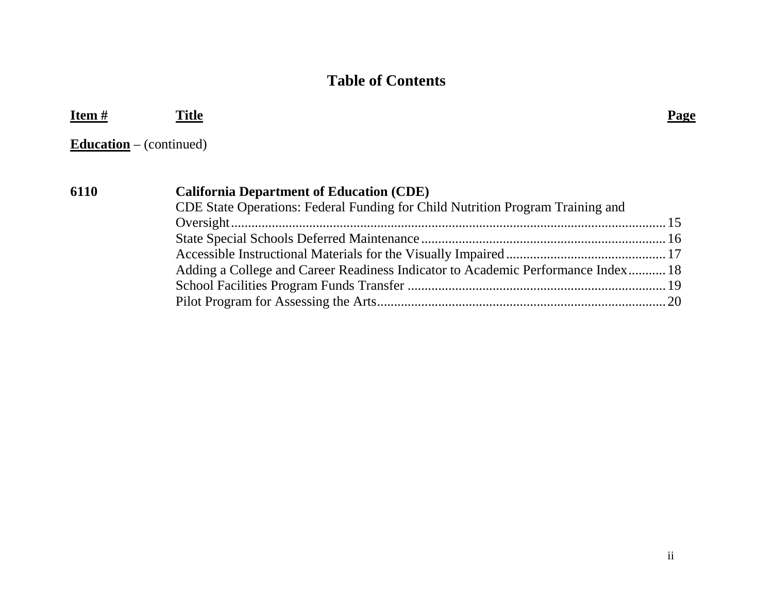### **Table of Contents**

| Item#                          | Title                                                                            | Page |
|--------------------------------|----------------------------------------------------------------------------------|------|
| <b>Education</b> – (continued) |                                                                                  |      |
| 6110                           | <b>California Department of Education (CDE)</b>                                  |      |
|                                | CDE State Operations: Federal Funding for Child Nutrition Program Training and   |      |
|                                |                                                                                  |      |
|                                |                                                                                  |      |
|                                | Adding a College and Career Readiness Indicator to Academic Performance Index 18 |      |
|                                |                                                                                  |      |

Pilot Program for Assessing the Arts.....................................................................................20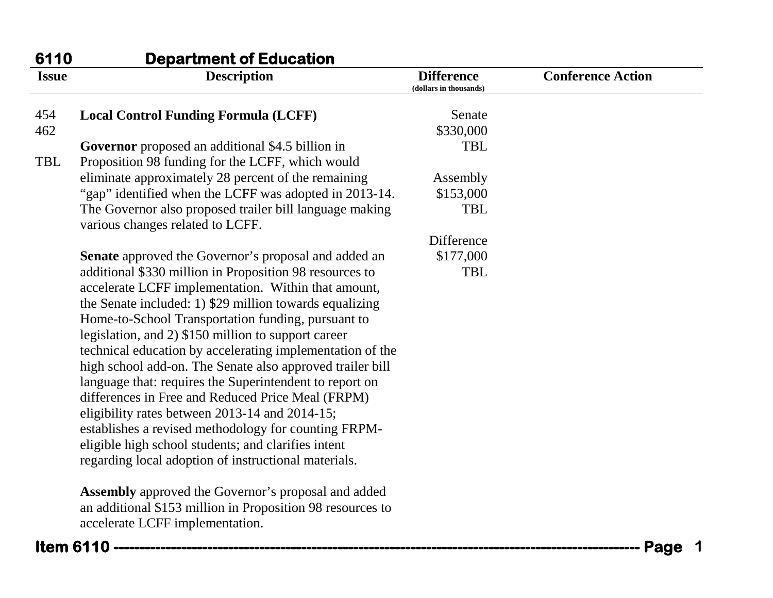| 6110         | <b>Department of Education</b>                                                                                                                                                                                                                                                                                                                                                                                                                                                                                                                                                                                                                                                                                                                            |                                             |                          |
|--------------|-----------------------------------------------------------------------------------------------------------------------------------------------------------------------------------------------------------------------------------------------------------------------------------------------------------------------------------------------------------------------------------------------------------------------------------------------------------------------------------------------------------------------------------------------------------------------------------------------------------------------------------------------------------------------------------------------------------------------------------------------------------|---------------------------------------------|--------------------------|
| <b>Issue</b> | <b>Description</b>                                                                                                                                                                                                                                                                                                                                                                                                                                                                                                                                                                                                                                                                                                                                        | <b>Difference</b><br>(dollars in thousands) | <b>Conference Action</b> |
| 454          | <b>Local Control Funding Formula (LCFF)</b>                                                                                                                                                                                                                                                                                                                                                                                                                                                                                                                                                                                                                                                                                                               | Senate                                      |                          |
| 462          |                                                                                                                                                                                                                                                                                                                                                                                                                                                                                                                                                                                                                                                                                                                                                           | \$330,000                                   |                          |
|              | Governor proposed an additional \$4.5 billion in                                                                                                                                                                                                                                                                                                                                                                                                                                                                                                                                                                                                                                                                                                          | <b>TBL</b>                                  |                          |
| <b>TBL</b>   | Proposition 98 funding for the LCFF, which would                                                                                                                                                                                                                                                                                                                                                                                                                                                                                                                                                                                                                                                                                                          |                                             |                          |
|              | eliminate approximately 28 percent of the remaining                                                                                                                                                                                                                                                                                                                                                                                                                                                                                                                                                                                                                                                                                                       | Assembly                                    |                          |
|              | "gap" identified when the LCFF was adopted in 2013-14.                                                                                                                                                                                                                                                                                                                                                                                                                                                                                                                                                                                                                                                                                                    | \$153,000                                   |                          |
|              | The Governor also proposed trailer bill language making<br>various changes related to LCFF.                                                                                                                                                                                                                                                                                                                                                                                                                                                                                                                                                                                                                                                               | <b>TBL</b>                                  |                          |
|              |                                                                                                                                                                                                                                                                                                                                                                                                                                                                                                                                                                                                                                                                                                                                                           | Difference                                  |                          |
|              | <b>Senate</b> approved the Governor's proposal and added an                                                                                                                                                                                                                                                                                                                                                                                                                                                                                                                                                                                                                                                                                               | \$177,000                                   |                          |
|              | additional \$330 million in Proposition 98 resources to<br>accelerate LCFF implementation. Within that amount,<br>the Senate included: 1) \$29 million towards equalizing<br>Home-to-School Transportation funding, pursuant to<br>legislation, and 2) \$150 million to support career<br>technical education by accelerating implementation of the<br>high school add-on. The Senate also approved trailer bill<br>language that: requires the Superintendent to report on<br>differences in Free and Reduced Price Meal (FRPM)<br>eligibility rates between 2013-14 and 2014-15;<br>establishes a revised methodology for counting FRPM-<br>eligible high school students; and clarifies intent<br>regarding local adoption of instructional materials. | <b>TBL</b>                                  |                          |
|              | <b>Assembly</b> approved the Governor's proposal and added<br>an additional \$153 million in Proposition 98 resources to<br>accelerate LCFF implementation.                                                                                                                                                                                                                                                                                                                                                                                                                                                                                                                                                                                               |                                             |                          |
|              | <b>Item 6110 ------------</b>                                                                                                                                                                                                                                                                                                                                                                                                                                                                                                                                                                                                                                                                                                                             |                                             | Page                     |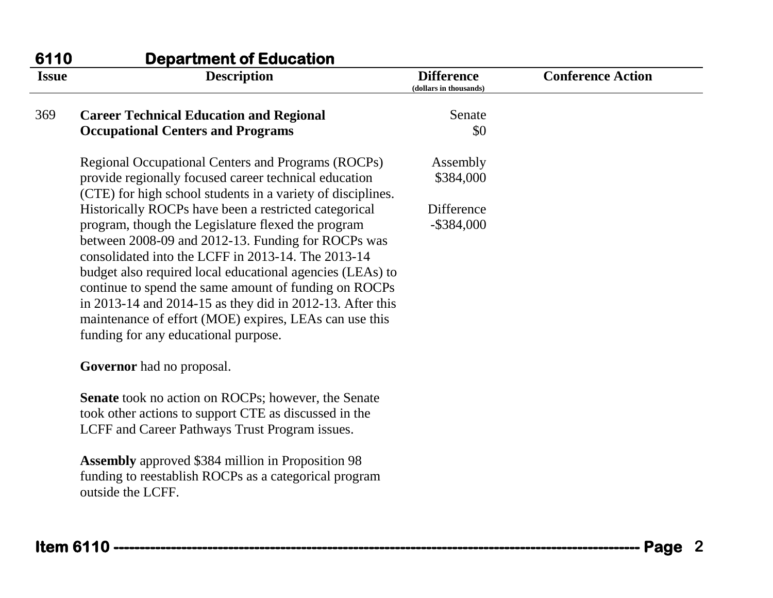| 6110         | <b>Department of Education</b>                                                                                                                                                                                                                                                                                                                                                                                                                                                          |                                             |                          |
|--------------|-----------------------------------------------------------------------------------------------------------------------------------------------------------------------------------------------------------------------------------------------------------------------------------------------------------------------------------------------------------------------------------------------------------------------------------------------------------------------------------------|---------------------------------------------|--------------------------|
| <b>Issue</b> | <b>Description</b>                                                                                                                                                                                                                                                                                                                                                                                                                                                                      | <b>Difference</b><br>(dollars in thousands) | <b>Conference Action</b> |
| 369          | <b>Career Technical Education and Regional</b>                                                                                                                                                                                                                                                                                                                                                                                                                                          | Senate                                      |                          |
|              | <b>Occupational Centers and Programs</b>                                                                                                                                                                                                                                                                                                                                                                                                                                                | \$0                                         |                          |
|              | Regional Occupational Centers and Programs (ROCPs)                                                                                                                                                                                                                                                                                                                                                                                                                                      | Assembly                                    |                          |
|              | provide regionally focused career technical education<br>(CTE) for high school students in a variety of disciplines.                                                                                                                                                                                                                                                                                                                                                                    | \$384,000                                   |                          |
|              | Historically ROCPs have been a restricted categorical                                                                                                                                                                                                                                                                                                                                                                                                                                   | Difference                                  |                          |
|              | program, though the Legislature flexed the program<br>between 2008-09 and 2012-13. Funding for ROCPs was<br>consolidated into the LCFF in 2013-14. The 2013-14<br>budget also required local educational agencies (LEAs) to<br>continue to spend the same amount of funding on ROCPs<br>in 2013-14 and 2014-15 as they did in 2012-13. After this<br>maintenance of effort (MOE) expires, LEAs can use this<br>funding for any educational purpose.<br><b>Governor</b> had no proposal. | $-$ \$384,000                               |                          |
|              | <b>Senate</b> took no action on ROCPs; however, the Senate                                                                                                                                                                                                                                                                                                                                                                                                                              |                                             |                          |
|              | took other actions to support CTE as discussed in the                                                                                                                                                                                                                                                                                                                                                                                                                                   |                                             |                          |
|              | LCFF and Career Pathways Trust Program issues.                                                                                                                                                                                                                                                                                                                                                                                                                                          |                                             |                          |
|              | <b>Assembly</b> approved \$384 million in Proposition 98<br>funding to reestablish ROCPs as a categorical program<br>outside the LCFF.                                                                                                                                                                                                                                                                                                                                                  |                                             |                          |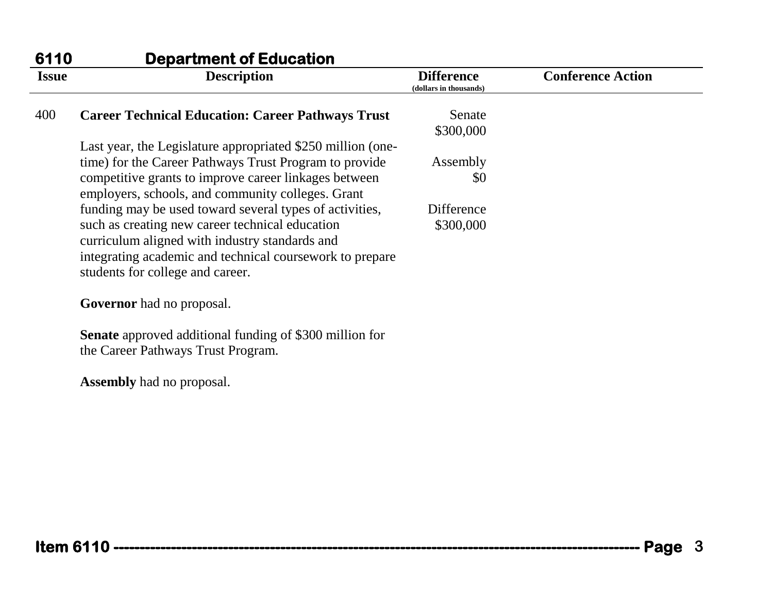| 6110         | <b>Department of Education</b>                                                                             |                                             |                          |
|--------------|------------------------------------------------------------------------------------------------------------|---------------------------------------------|--------------------------|
| <b>Issue</b> | <b>Description</b>                                                                                         | <b>Difference</b><br>(dollars in thousands) | <b>Conference Action</b> |
| 400          | <b>Career Technical Education: Career Pathways Trust</b>                                                   | Senate<br>\$300,000                         |                          |
|              | Last year, the Legislature appropriated \$250 million (one-                                                |                                             |                          |
|              | time) for the Career Pathways Trust Program to provide                                                     | Assembly                                    |                          |
|              | competitive grants to improve career linkages between<br>employers, schools, and community colleges. Grant | \$0                                         |                          |
|              | funding may be used toward several types of activities,                                                    | Difference                                  |                          |
|              | such as creating new career technical education<br>curriculum aligned with industry standards and          | \$300,000                                   |                          |
|              | integrating academic and technical coursework to prepare<br>students for college and career.               |                                             |                          |
|              | <b>Governor</b> had no proposal.                                                                           |                                             |                          |
|              | <b>Senate</b> approved additional funding of \$300 million for                                             |                                             |                          |
|              | the Career Pathways Trust Program.                                                                         |                                             |                          |
|              | <b>Assembly</b> had no proposal.                                                                           |                                             |                          |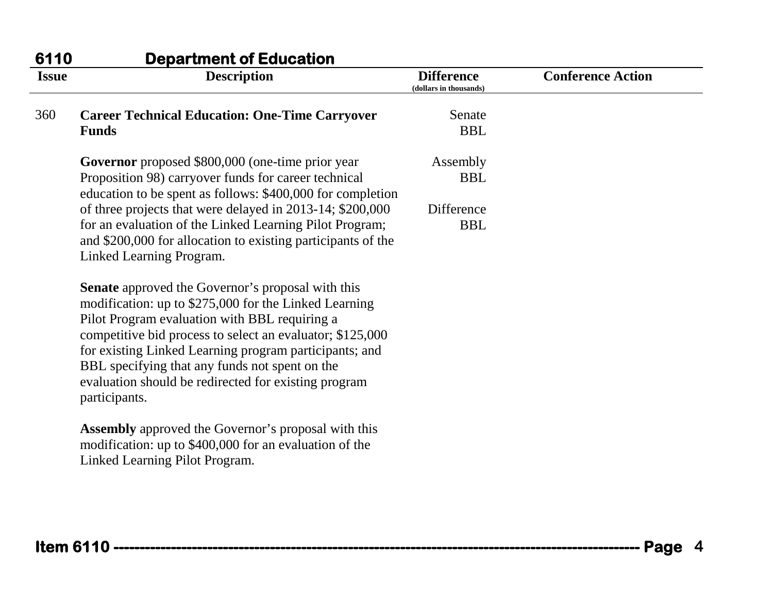| 6110         | <b>Department of Education</b>                                                                                                                                                                                                                                                                                                                                                                                       |                                             |                          |
|--------------|----------------------------------------------------------------------------------------------------------------------------------------------------------------------------------------------------------------------------------------------------------------------------------------------------------------------------------------------------------------------------------------------------------------------|---------------------------------------------|--------------------------|
| <b>Issue</b> | <b>Description</b>                                                                                                                                                                                                                                                                                                                                                                                                   | <b>Difference</b><br>(dollars in thousands) | <b>Conference Action</b> |
| 360          | <b>Career Technical Education: One-Time Carryover</b>                                                                                                                                                                                                                                                                                                                                                                | Senate                                      |                          |
|              | <b>Funds</b>                                                                                                                                                                                                                                                                                                                                                                                                         | <b>BBL</b>                                  |                          |
|              | Governor proposed \$800,000 (one-time prior year                                                                                                                                                                                                                                                                                                                                                                     | Assembly                                    |                          |
|              | Proposition 98) carryover funds for career technical<br>education to be spent as follows: \$400,000 for completion                                                                                                                                                                                                                                                                                                   | <b>BBL</b>                                  |                          |
|              | of three projects that were delayed in 2013-14; \$200,000                                                                                                                                                                                                                                                                                                                                                            | Difference                                  |                          |
|              | for an evaluation of the Linked Learning Pilot Program;<br>and \$200,000 for allocation to existing participants of the<br>Linked Learning Program.                                                                                                                                                                                                                                                                  | <b>BBL</b>                                  |                          |
|              | <b>Senate</b> approved the Governor's proposal with this<br>modification: up to \$275,000 for the Linked Learning<br>Pilot Program evaluation with BBL requiring a<br>competitive bid process to select an evaluator; \$125,000<br>for existing Linked Learning program participants; and<br>BBL specifying that any funds not spent on the<br>evaluation should be redirected for existing program<br>participants. |                                             |                          |
|              | <b>Assembly</b> approved the Governor's proposal with this<br>modification: up to \$400,000 for an evaluation of the<br>Linked Learning Pilot Program.                                                                                                                                                                                                                                                               |                                             |                          |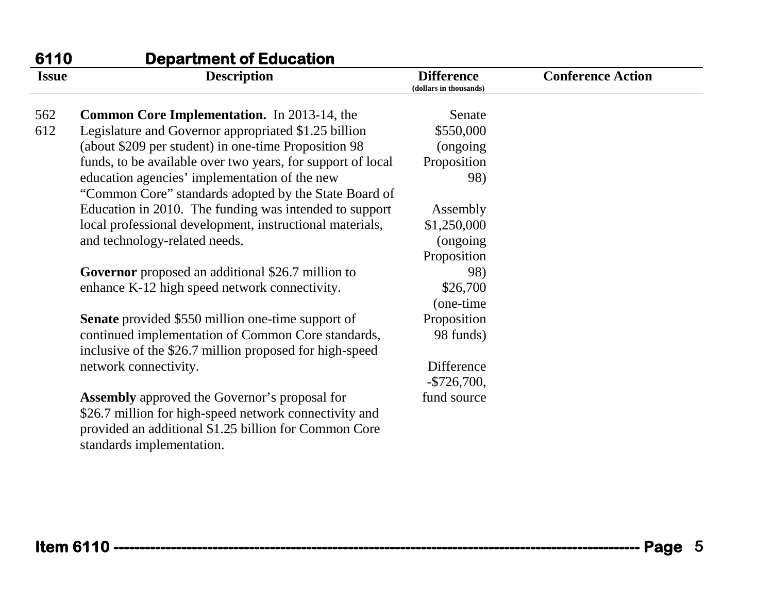| 6110         | <b>Department of Education</b>                              |                                             |                          |
|--------------|-------------------------------------------------------------|---------------------------------------------|--------------------------|
| <b>Issue</b> | <b>Description</b>                                          | <b>Difference</b><br>(dollars in thousands) | <b>Conference Action</b> |
| 562          | <b>Common Core Implementation.</b> In 2013-14, the          | Senate                                      |                          |
| 612          | Legislature and Governor appropriated \$1.25 billion        | \$550,000                                   |                          |
|              | (about \$209 per student) in one-time Proposition 98        | (ongoing)                                   |                          |
|              | funds, to be available over two years, for support of local | Proposition                                 |                          |
|              | education agencies' implementation of the new               | 98)                                         |                          |
|              | "Common Core" standards adopted by the State Board of       |                                             |                          |
|              | Education in 2010. The funding was intended to support      | Assembly                                    |                          |
|              | local professional development, instructional materials,    | \$1,250,000                                 |                          |
|              | and technology-related needs.                               | (ongoing)                                   |                          |
|              |                                                             | Proposition                                 |                          |
|              | <b>Governor</b> proposed an additional \$26.7 million to    | 98)                                         |                          |
|              | enhance K-12 high speed network connectivity.               | \$26,700                                    |                          |
|              |                                                             | (one-time)                                  |                          |
|              | <b>Senate</b> provided \$550 million one-time support of    | Proposition                                 |                          |
|              | continued implementation of Common Core standards,          | 98 funds)                                   |                          |
|              | inclusive of the \$26.7 million proposed for high-speed     |                                             |                          |
|              | network connectivity.                                       | Difference                                  |                          |
|              |                                                             | $-$ \$726,700,                              |                          |
|              | <b>Assembly</b> approved the Governor's proposal for        | fund source                                 |                          |
|              | \$26.7 million for high-speed network connectivity and      |                                             |                          |
|              | provided an additional \$1.25 billion for Common Core       |                                             |                          |
|              | standards implementation.                                   |                                             |                          |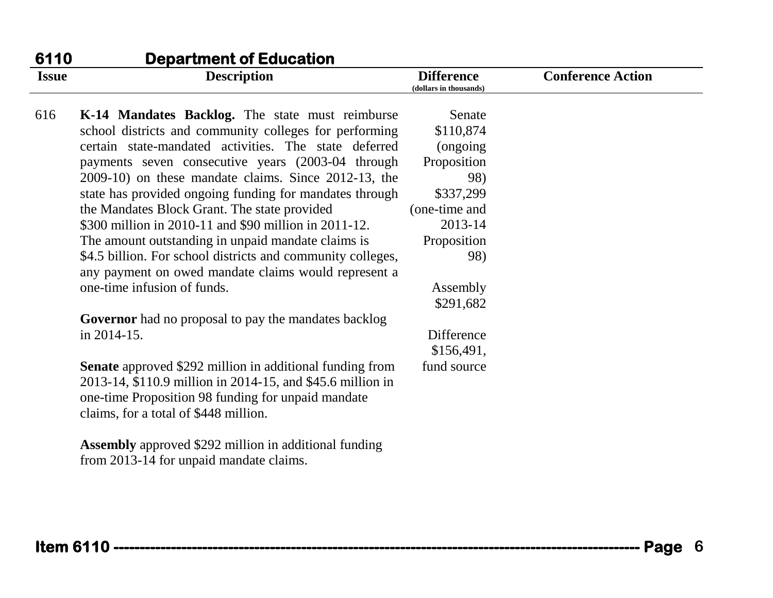| 6110<br><b>Issue</b> | <b>Department of Education</b><br><b>Description</b>                                                                                                                                                                         | <b>Difference</b><br>(dollars in thousands) | <b>Conference Action</b> |
|----------------------|------------------------------------------------------------------------------------------------------------------------------------------------------------------------------------------------------------------------------|---------------------------------------------|--------------------------|
| 616                  | K-14 Mandates Backlog. The state must reimburse                                                                                                                                                                              | Senate                                      |                          |
|                      | school districts and community colleges for performing                                                                                                                                                                       | \$110,874                                   |                          |
|                      | certain state-mandated activities. The state deferred                                                                                                                                                                        | (ongoing)                                   |                          |
|                      | payments seven consecutive years (2003-04 through                                                                                                                                                                            | Proposition                                 |                          |
|                      | 2009-10) on these mandate claims. Since 2012-13, the                                                                                                                                                                         | 98)                                         |                          |
|                      | state has provided ongoing funding for mandates through                                                                                                                                                                      | \$337,299                                   |                          |
|                      | the Mandates Block Grant. The state provided                                                                                                                                                                                 | (one-time and                               |                          |
|                      | \$300 million in 2010-11 and \$90 million in 2011-12.                                                                                                                                                                        | 2013-14                                     |                          |
|                      | The amount outstanding in unpaid mandate claims is                                                                                                                                                                           | Proposition                                 |                          |
|                      | \$4.5 billion. For school districts and community colleges,<br>any payment on owed mandate claims would represent a                                                                                                          | 98)                                         |                          |
|                      | one-time infusion of funds.                                                                                                                                                                                                  | Assembly                                    |                          |
|                      |                                                                                                                                                                                                                              | \$291,682                                   |                          |
|                      | <b>Governor</b> had no proposal to pay the mandates backlog                                                                                                                                                                  |                                             |                          |
|                      | in 2014-15.                                                                                                                                                                                                                  | Difference                                  |                          |
|                      |                                                                                                                                                                                                                              | \$156,491,                                  |                          |
|                      | <b>Senate</b> approved \$292 million in additional funding from<br>2013-14, \$110.9 million in 2014-15, and \$45.6 million in<br>one-time Proposition 98 funding for unpaid mandate<br>claims, for a total of \$448 million. | fund source                                 |                          |
|                      | <b>Assembly</b> approved \$292 million in additional funding<br>from 2013-14 for unpaid mandate claims.                                                                                                                      |                                             |                          |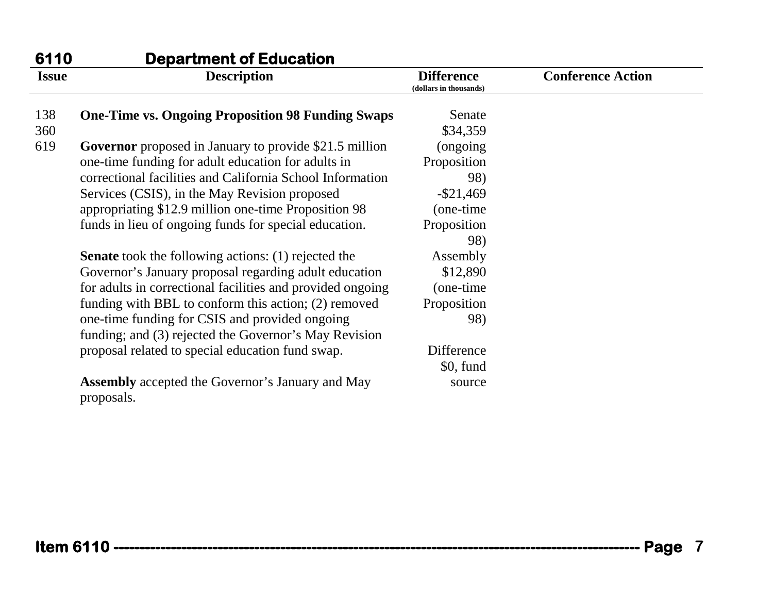| 6110         | <b>Department of Education</b>                                        |                                             |                          |
|--------------|-----------------------------------------------------------------------|---------------------------------------------|--------------------------|
| <b>Issue</b> | <b>Description</b>                                                    | <b>Difference</b><br>(dollars in thousands) | <b>Conference Action</b> |
| 138          | <b>One-Time vs. Ongoing Proposition 98 Funding Swaps</b>              | Senate                                      |                          |
| 360          |                                                                       | \$34,359                                    |                          |
| 619          | <b>Governor</b> proposed in January to provide \$21.5 million         | (ongoing)                                   |                          |
|              | one-time funding for adult education for adults in                    | Proposition                                 |                          |
|              | correctional facilities and California School Information             | 98)                                         |                          |
|              | Services (CSIS), in the May Revision proposed                         | $-$ \$21,469                                |                          |
|              | appropriating \$12.9 million one-time Proposition 98                  | (one-time)                                  |                          |
|              | funds in lieu of ongoing funds for special education.                 | Proposition                                 |                          |
|              |                                                                       | 98)                                         |                          |
|              | <b>Senate</b> took the following actions: (1) rejected the            | Assembly                                    |                          |
|              | Governor's January proposal regarding adult education                 | \$12,890                                    |                          |
|              | for adults in correctional facilities and provided ongoing            | (one-time)                                  |                          |
|              | funding with BBL to conform this action; (2) removed                  | Proposition                                 |                          |
|              | one-time funding for CSIS and provided ongoing                        | 98)                                         |                          |
|              | funding; and (3) rejected the Governor's May Revision                 |                                             |                          |
|              | proposal related to special education fund swap.                      | Difference                                  |                          |
|              |                                                                       | \$0, fund                                   |                          |
|              | <b>Assembly</b> accepted the Governor's January and May<br>proposals. | source                                      |                          |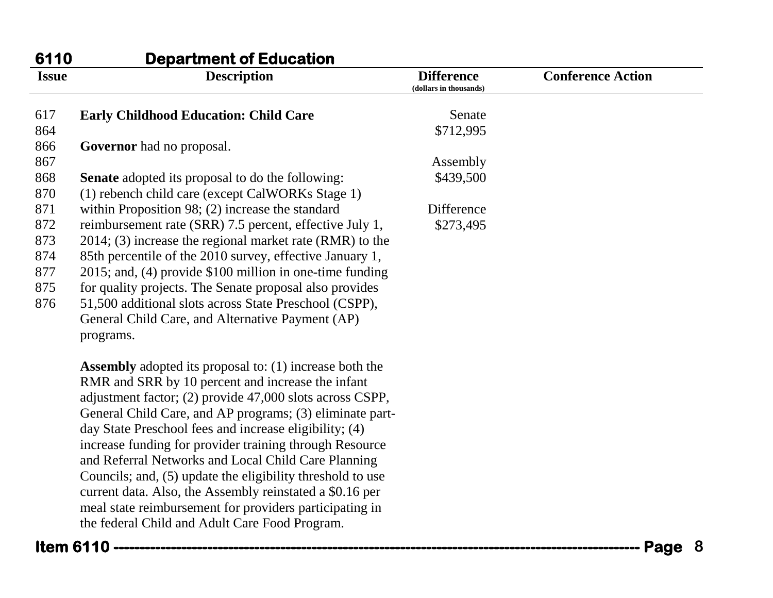| 6110         | <b>Department of Education</b>                                 |                                             |                          |
|--------------|----------------------------------------------------------------|---------------------------------------------|--------------------------|
| <b>Issue</b> | <b>Description</b>                                             | <b>Difference</b><br>(dollars in thousands) | <b>Conference Action</b> |
| 617          | <b>Early Childhood Education: Child Care</b>                   | Senate                                      |                          |
| 864          |                                                                | \$712,995                                   |                          |
| 866          | Governor had no proposal.                                      |                                             |                          |
| 867          |                                                                | Assembly                                    |                          |
| 868          | <b>Senate</b> adopted its proposal to do the following:        | \$439,500                                   |                          |
| 870          | (1) rebench child care (except CalWORKs Stage 1)               |                                             |                          |
| 871          | within Proposition 98; $(2)$ increase the standard             | Difference                                  |                          |
| 872          | reimbursement rate (SRR) 7.5 percent, effective July 1,        | \$273,495                                   |                          |
| 873          | $2014$ ; (3) increase the regional market rate (RMR) to the    |                                             |                          |
| 874          | 85th percentile of the 2010 survey, effective January 1,       |                                             |                          |
| 877          | $2015$ ; and, (4) provide \$100 million in one-time funding    |                                             |                          |
| 875          | for quality projects. The Senate proposal also provides        |                                             |                          |
| 876          | 51,500 additional slots across State Preschool (CSPP),         |                                             |                          |
|              | General Child Care, and Alternative Payment (AP)               |                                             |                          |
|              | programs.                                                      |                                             |                          |
|              | <b>Assembly</b> adopted its proposal to: (1) increase both the |                                             |                          |
|              | RMR and SRR by 10 percent and increase the infant              |                                             |                          |
|              | adjustment factor; (2) provide 47,000 slots across CSPP,       |                                             |                          |
|              | General Child Care, and AP programs; (3) eliminate part-       |                                             |                          |
|              | day State Preschool fees and increase eligibility; (4)         |                                             |                          |
|              | increase funding for provider training through Resource        |                                             |                          |

and Referral Networks and Local Child Care Planning Councils; and, (5) update the eligibility threshold to use current data. Also, the Assembly reinstated a \$0.16 per meal state reimbursement for providers participating in

the federal Child and Adult Care Food Program.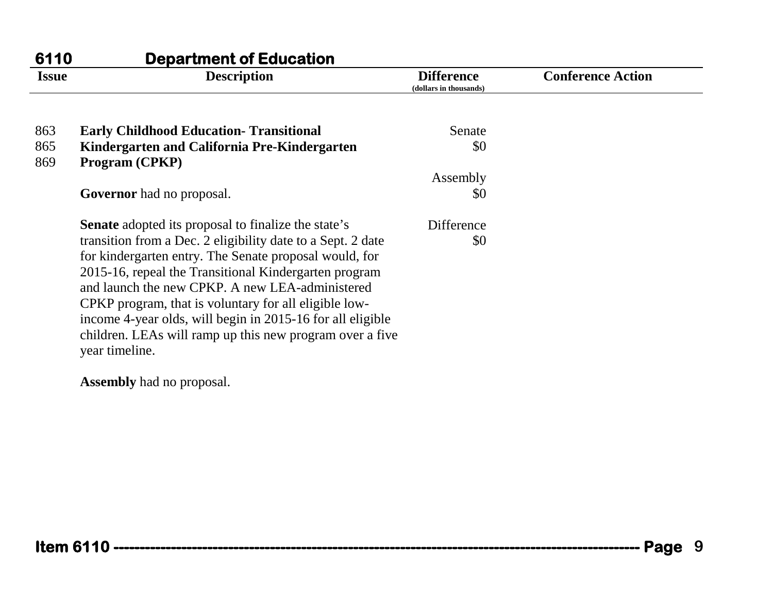| 6110         | <b>Department of Education</b>                                 |                                             |                          |
|--------------|----------------------------------------------------------------|---------------------------------------------|--------------------------|
| <b>Issue</b> | <b>Description</b>                                             | <b>Difference</b><br>(dollars in thousands) | <b>Conference Action</b> |
| 863          | <b>Early Childhood Education- Transitional</b>                 | Senate                                      |                          |
| 865<br>869   | Kindergarten and California Pre-Kindergarten<br>Program (CPKP) | \$0                                         |                          |
|              |                                                                | Assembly                                    |                          |
|              | <b>Governor</b> had no proposal.                               | \$0                                         |                          |
|              | <b>Senate</b> adopted its proposal to finalize the state's     | Difference                                  |                          |
|              | transition from a Dec. 2 eligibility date to a Sept. 2 date    | \$0                                         |                          |
|              | for kindergarten entry. The Senate proposal would, for         |                                             |                          |
|              | 2015-16, repeal the Transitional Kindergarten program          |                                             |                          |
|              | and launch the new CPKP. A new LEA-administered                |                                             |                          |
|              | CPKP program, that is voluntary for all eligible low-          |                                             |                          |
|              | income 4-year olds, will begin in 2015-16 for all eligible     |                                             |                          |
|              | children. LEAs will ramp up this new program over a five       |                                             |                          |
|              | year timeline.                                                 |                                             |                          |

**Assembly** had no proposal.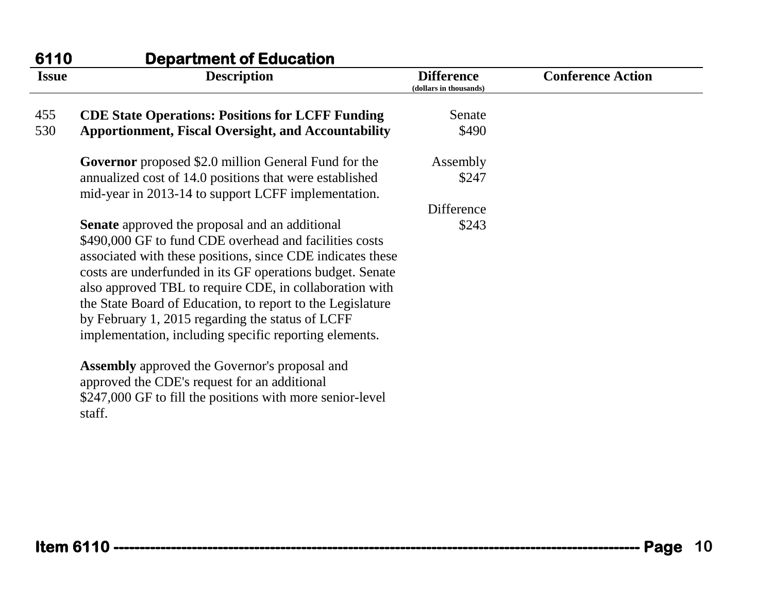| 6110         | <b>Department of Education</b>                                                                                                                                                                                                                                                                                                                                                                                                                                                    |                                             |                          |
|--------------|-----------------------------------------------------------------------------------------------------------------------------------------------------------------------------------------------------------------------------------------------------------------------------------------------------------------------------------------------------------------------------------------------------------------------------------------------------------------------------------|---------------------------------------------|--------------------------|
| <b>Issue</b> | <b>Description</b>                                                                                                                                                                                                                                                                                                                                                                                                                                                                | <b>Difference</b><br>(dollars in thousands) | <b>Conference Action</b> |
| 455          | <b>CDE State Operations: Positions for LCFF Funding</b>                                                                                                                                                                                                                                                                                                                                                                                                                           | Senate                                      |                          |
| 530          | <b>Apportionment, Fiscal Oversight, and Accountability</b>                                                                                                                                                                                                                                                                                                                                                                                                                        | \$490                                       |                          |
|              | <b>Governor</b> proposed \$2.0 million General Fund for the                                                                                                                                                                                                                                                                                                                                                                                                                       | Assembly                                    |                          |
|              | annualized cost of 14.0 positions that were established<br>mid-year in 2013-14 to support LCFF implementation.                                                                                                                                                                                                                                                                                                                                                                    | \$247                                       |                          |
|              |                                                                                                                                                                                                                                                                                                                                                                                                                                                                                   | Difference                                  |                          |
|              | <b>Senate</b> approved the proposal and an additional<br>\$490,000 GF to fund CDE overhead and facilities costs<br>associated with these positions, since CDE indicates these<br>costs are underfunded in its GF operations budget. Senate<br>also approved TBL to require CDE, in collaboration with<br>the State Board of Education, to report to the Legislature<br>by February 1, 2015 regarding the status of LCFF<br>implementation, including specific reporting elements. | \$243                                       |                          |
|              | <b>Assembly</b> approved the Governor's proposal and<br>approved the CDE's request for an additional<br>\$247,000 GF to fill the positions with more senior-level<br>staff.                                                                                                                                                                                                                                                                                                       |                                             |                          |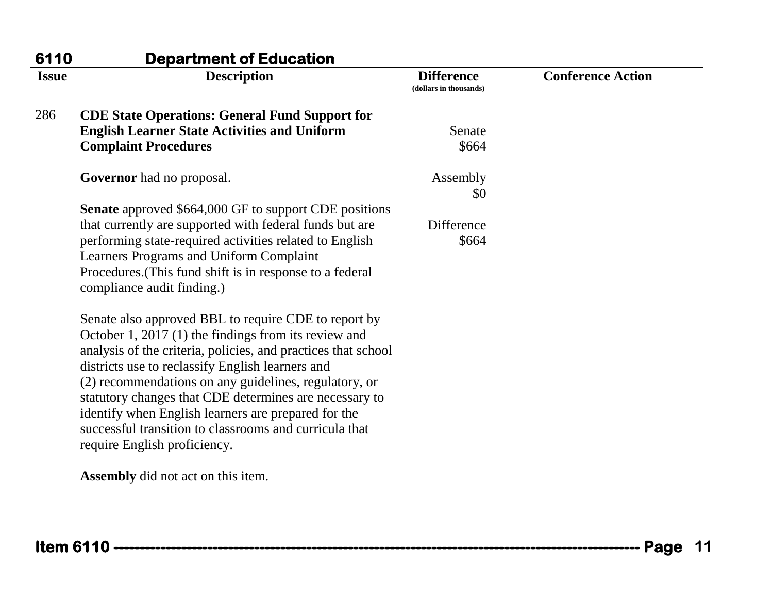| 6110         | <b>Department of Education</b>                                |                                             |                          |
|--------------|---------------------------------------------------------------|---------------------------------------------|--------------------------|
| <b>Issue</b> | <b>Description</b>                                            | <b>Difference</b><br>(dollars in thousands) | <b>Conference Action</b> |
| 286          | <b>CDE State Operations: General Fund Support for</b>         |                                             |                          |
|              | <b>English Learner State Activities and Uniform</b>           | Senate                                      |                          |
|              | <b>Complaint Procedures</b>                                   | \$664                                       |                          |
|              | <b>Governor</b> had no proposal.                              | Assembly                                    |                          |
|              |                                                               | \$0                                         |                          |
|              | <b>Senate</b> approved \$664,000 GF to support CDE positions  |                                             |                          |
|              | that currently are supported with federal funds but are       | Difference                                  |                          |
|              | performing state-required activities related to English       | \$664                                       |                          |
|              | Learners Programs and Uniform Complaint                       |                                             |                          |
|              | Procedures. (This fund shift is in response to a federal      |                                             |                          |
|              | compliance audit finding.)                                    |                                             |                          |
|              | Senate also approved BBL to require CDE to report by          |                                             |                          |
|              | October 1, 2017 $(1)$ the findings from its review and        |                                             |                          |
|              | analysis of the criteria, policies, and practices that school |                                             |                          |
|              | districts use to reclassify English learners and              |                                             |                          |
|              | (2) recommendations on any guidelines, regulatory, or         |                                             |                          |
|              | statutory changes that CDE determines are necessary to        |                                             |                          |
|              | identify when English learners are prepared for the           |                                             |                          |
|              | successful transition to classrooms and curricula that        |                                             |                          |
|              | require English proficiency.                                  |                                             |                          |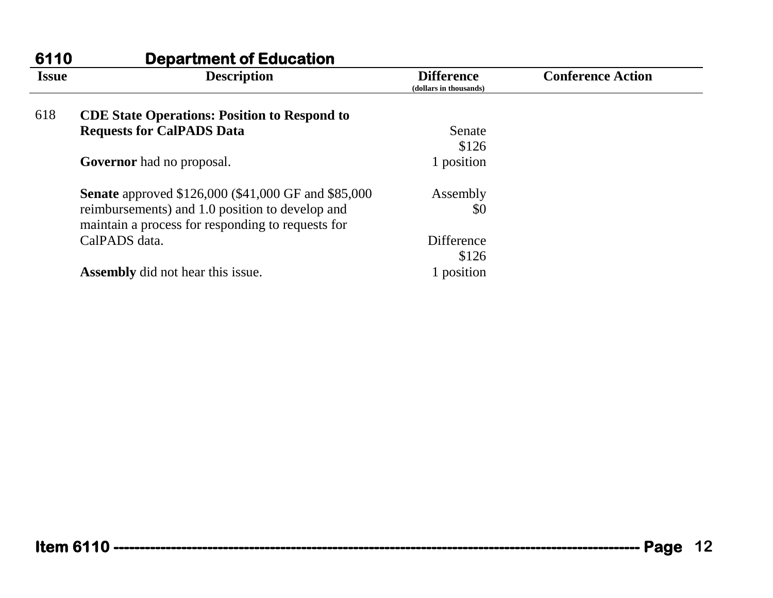| 6110         | <b>Department of Education</b>                                                                       |                                             |                          |
|--------------|------------------------------------------------------------------------------------------------------|---------------------------------------------|--------------------------|
| <b>Issue</b> | <b>Description</b>                                                                                   | <b>Difference</b><br>(dollars in thousands) | <b>Conference Action</b> |
| 618          | <b>CDE State Operations: Position to Respond to</b>                                                  |                                             |                          |
|              | <b>Requests for CalPADS Data</b>                                                                     | Senate                                      |                          |
|              |                                                                                                      | \$126                                       |                          |
|              | <b>Governor</b> had no proposal.                                                                     | 1 position                                  |                          |
|              | <b>Senate</b> approved \$126,000 (\$41,000 GF and \$85,000)                                          | Assembly                                    |                          |
|              | reimbursements) and 1.0 position to develop and<br>maintain a process for responding to requests for | \$0                                         |                          |
|              | CalPADS data.                                                                                        | <b>Difference</b>                           |                          |
|              |                                                                                                      | \$126                                       |                          |
|              | <b>Assembly</b> did not hear this issue.                                                             | 1 position                                  |                          |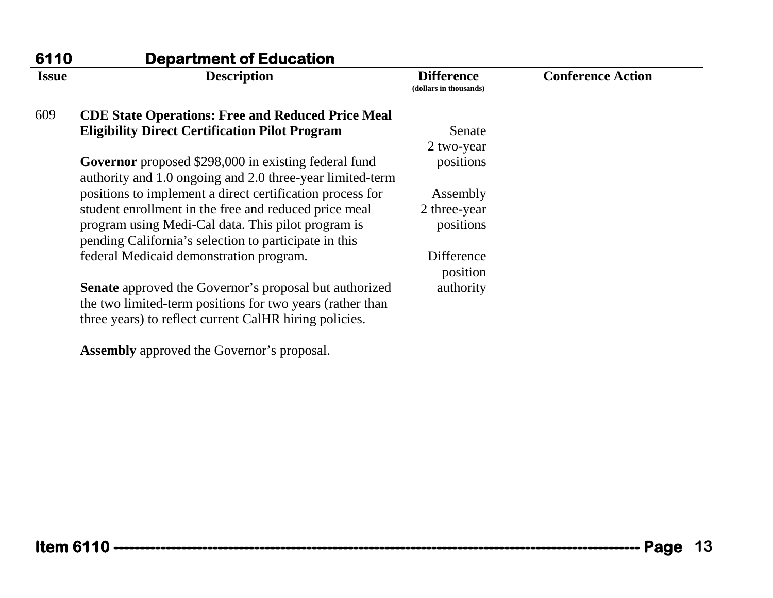| <b>Department of Education</b>                                                                                    |                                                   |                                                           |
|-------------------------------------------------------------------------------------------------------------------|---------------------------------------------------|-----------------------------------------------------------|
| <b>Description</b>                                                                                                | <b>Difference</b><br>(dollars in thousands)       | <b>Conference Action</b>                                  |
| <b>CDE State Operations: Free and Reduced Price Meal</b>                                                          |                                                   |                                                           |
| <b>Eligibility Direct Certification Pilot Program</b>                                                             | Senate                                            |                                                           |
|                                                                                                                   | 2 two-year                                        |                                                           |
| Governor proposed \$298,000 in existing federal fund<br>authority and 1.0 ongoing and 2.0 three-year limited-term | positions                                         |                                                           |
| positions to implement a direct certification process for                                                         | Assembly                                          |                                                           |
| student enrollment in the free and reduced price meal                                                             | 2 three-year                                      |                                                           |
| program using Medi-Cal data. This pilot program is<br>pending California's selection to participate in this       | positions                                         |                                                           |
| federal Medicaid demonstration program.                                                                           | Difference<br>position                            |                                                           |
| Senate approved the Governor's proposal but authorized                                                            | authority                                         |                                                           |
| three years) to reflect current CalHR hiring policies.                                                            |                                                   |                                                           |
|                                                                                                                   | <b>Assembly</b> approved the Governor's proposal. | the two limited-term positions for two years (rather than |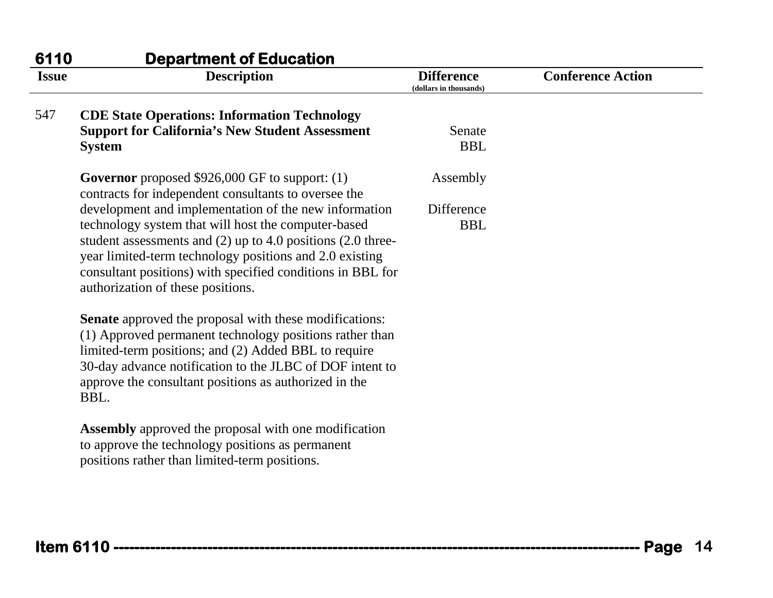| <b>Issue</b> | <b>Description</b>                                                                                                                                                                                                                                                                                                                            | <b>Difference</b><br>(dollars in thousands) | <b>Conference Action</b> |
|--------------|-----------------------------------------------------------------------------------------------------------------------------------------------------------------------------------------------------------------------------------------------------------------------------------------------------------------------------------------------|---------------------------------------------|--------------------------|
| 547          | <b>CDE State Operations: Information Technology</b>                                                                                                                                                                                                                                                                                           |                                             |                          |
|              | <b>Support for California's New Student Assessment</b><br><b>System</b>                                                                                                                                                                                                                                                                       | Senate<br><b>BBL</b>                        |                          |
|              | <b>Governor</b> proposed \$926,000 GF to support: (1)<br>contracts for independent consultants to oversee the                                                                                                                                                                                                                                 | Assembly                                    |                          |
|              | development and implementation of the new information<br>technology system that will host the computer-based<br>student assessments and $(2)$ up to 4.0 positions $(2.0$ three-<br>year limited-term technology positions and 2.0 existing<br>consultant positions) with specified conditions in BBL for<br>authorization of these positions. | Difference<br><b>BBL</b>                    |                          |
|              | <b>Senate</b> approved the proposal with these modifications:<br>(1) Approved permanent technology positions rather than<br>limited-term positions; and (2) Added BBL to require<br>30-day advance notification to the JLBC of DOF intent to<br>approve the consultant positions as authorized in the<br>BBL.                                 |                                             |                          |
|              | <b>Assembly</b> approved the proposal with one modification<br>to approve the technology positions as permanent<br>positions rather than limited-term positions.                                                                                                                                                                              |                                             |                          |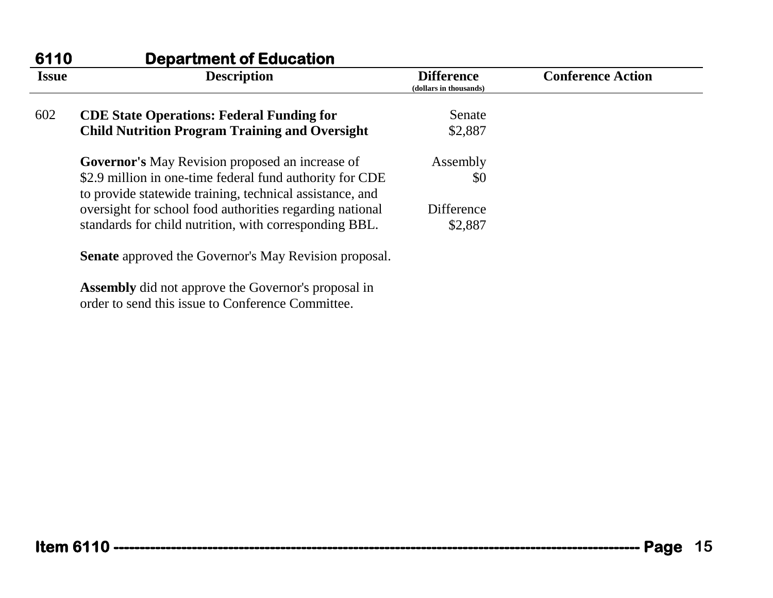| 6110         | <b>Department of Education</b>                                                                                       |                                             |                          |
|--------------|----------------------------------------------------------------------------------------------------------------------|---------------------------------------------|--------------------------|
| <b>Issue</b> | <b>Description</b>                                                                                                   | <b>Difference</b><br>(dollars in thousands) | <b>Conference Action</b> |
| 602          | <b>CDE State Operations: Federal Funding for</b>                                                                     | Senate                                      |                          |
|              | <b>Child Nutrition Program Training and Oversight</b>                                                                | \$2,887                                     |                          |
|              | <b>Governor's</b> May Revision proposed an increase of                                                               | Assembly                                    |                          |
|              | \$2.9 million in one-time federal fund authority for CDE<br>to provide statewide training, technical assistance, and | \$0                                         |                          |
|              | oversight for school food authorities regarding national                                                             | Difference                                  |                          |
|              | standards for child nutrition, with corresponding BBL.                                                               | \$2,887                                     |                          |
|              | <b>Senate</b> approved the Governor's May Revision proposal.                                                         |                                             |                          |
|              | <b>Assembly</b> did not approve the Governor's proposal in                                                           |                                             |                          |

order to send this issue to Conference Committee.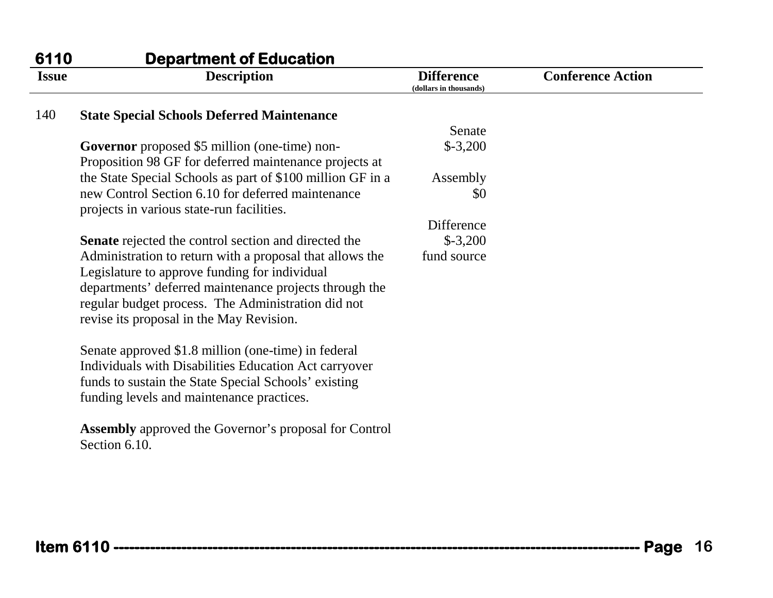| 6110         | <b>Department of Education</b>                                                                 |                                             |                          |
|--------------|------------------------------------------------------------------------------------------------|---------------------------------------------|--------------------------|
| <b>Issue</b> | <b>Description</b>                                                                             | <b>Difference</b><br>(dollars in thousands) | <b>Conference Action</b> |
| 140          | <b>State Special Schools Deferred Maintenance</b>                                              |                                             |                          |
|              |                                                                                                | Senate                                      |                          |
|              | Governor proposed \$5 million (one-time) non-                                                  | $$-3,200$                                   |                          |
|              | Proposition 98 GF for deferred maintenance projects at                                         |                                             |                          |
|              | the State Special Schools as part of \$100 million GF in a                                     | Assembly                                    |                          |
|              | new Control Section 6.10 for deferred maintenance<br>projects in various state-run facilities. | \$0                                         |                          |
|              |                                                                                                | Difference                                  |                          |
|              | Senate rejected the control section and directed the                                           | $$-3,200$                                   |                          |
|              | Administration to return with a proposal that allows the                                       | fund source                                 |                          |
|              | Legislature to approve funding for individual                                                  |                                             |                          |
|              | departments' deferred maintenance projects through the                                         |                                             |                          |
|              | regular budget process. The Administration did not                                             |                                             |                          |
|              | revise its proposal in the May Revision.                                                       |                                             |                          |
|              | Senate approved \$1.8 million (one-time) in federal                                            |                                             |                          |
|              | Individuals with Disabilities Education Act carryover                                          |                                             |                          |
|              | funds to sustain the State Special Schools' existing                                           |                                             |                          |
|              | funding levels and maintenance practices.                                                      |                                             |                          |
|              |                                                                                                |                                             |                          |
|              | <b>Assembly</b> approved the Governor's proposal for Control<br>Section 6.10.                  |                                             |                          |
|              |                                                                                                |                                             |                          |
|              |                                                                                                |                                             |                          |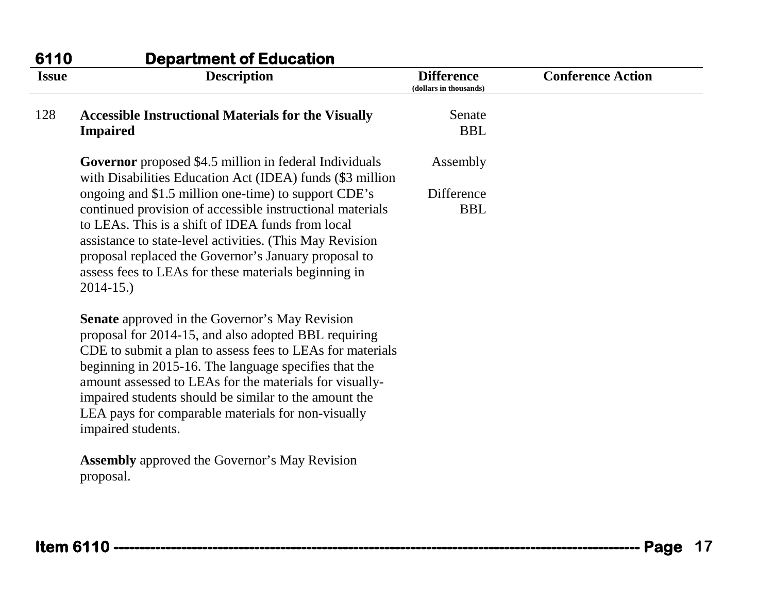| 6110         | <b>Department of Education</b>                                                                                                                                                                                                                                                                                                                                                                                                      |                                             |                          |
|--------------|-------------------------------------------------------------------------------------------------------------------------------------------------------------------------------------------------------------------------------------------------------------------------------------------------------------------------------------------------------------------------------------------------------------------------------------|---------------------------------------------|--------------------------|
| <b>Issue</b> | <b>Description</b>                                                                                                                                                                                                                                                                                                                                                                                                                  | <b>Difference</b><br>(dollars in thousands) | <b>Conference Action</b> |
| 128          | <b>Accessible Instructional Materials for the Visually</b><br><b>Impaired</b>                                                                                                                                                                                                                                                                                                                                                       | Senate<br><b>BBL</b>                        |                          |
|              | <b>Governor</b> proposed \$4.5 million in federal Individuals<br>with Disabilities Education Act (IDEA) funds (\$3 million                                                                                                                                                                                                                                                                                                          | Assembly                                    |                          |
|              | ongoing and \$1.5 million one-time) to support CDE's<br>continued provision of accessible instructional materials<br>to LEAs. This is a shift of IDEA funds from local<br>assistance to state-level activities. (This May Revision<br>proposal replaced the Governor's January proposal to<br>assess fees to LEAs for these materials beginning in<br>$2014 - 15.$                                                                  | Difference<br><b>BBL</b>                    |                          |
|              | <b>Senate</b> approved in the Governor's May Revision<br>proposal for 2014-15, and also adopted BBL requiring<br>CDE to submit a plan to assess fees to LEAs for materials<br>beginning in 2015-16. The language specifies that the<br>amount assessed to LEAs for the materials for visually-<br>impaired students should be similar to the amount the<br>LEA pays for comparable materials for non-visually<br>impaired students. |                                             |                          |
|              | <b>Assembly</b> approved the Governor's May Revision<br>proposal.                                                                                                                                                                                                                                                                                                                                                                   |                                             |                          |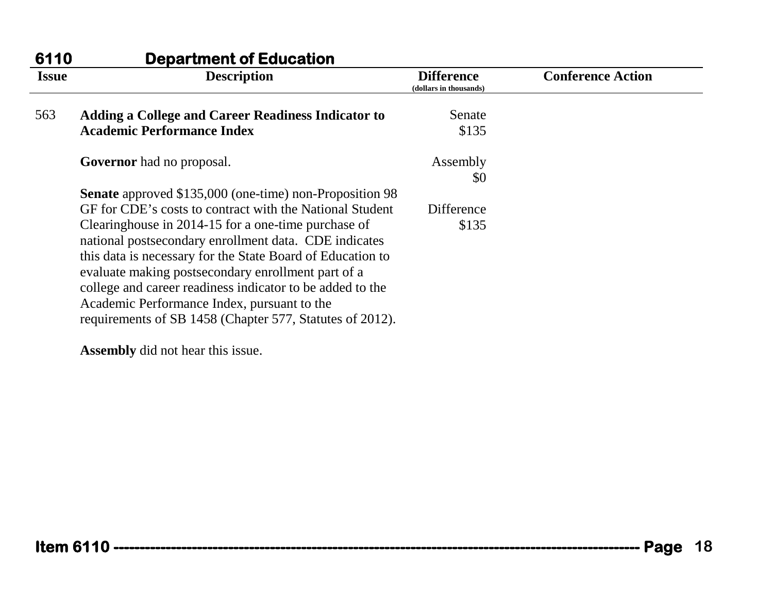| 6110         | <b>Department of Education</b>                                                                                                                                                                                                                                                                                                                                                                           |                                             |                          |
|--------------|----------------------------------------------------------------------------------------------------------------------------------------------------------------------------------------------------------------------------------------------------------------------------------------------------------------------------------------------------------------------------------------------------------|---------------------------------------------|--------------------------|
| <b>Issue</b> | <b>Description</b>                                                                                                                                                                                                                                                                                                                                                                                       | <b>Difference</b><br>(dollars in thousands) | <b>Conference Action</b> |
| 563          | <b>Adding a College and Career Readiness Indicator to</b>                                                                                                                                                                                                                                                                                                                                                | Senate                                      |                          |
|              | <b>Academic Performance Index</b>                                                                                                                                                                                                                                                                                                                                                                        | \$135                                       |                          |
|              | <b>Governor</b> had no proposal.                                                                                                                                                                                                                                                                                                                                                                         | Assembly<br>\$0                             |                          |
|              | <b>Senate</b> approved \$135,000 (one-time) non-Proposition 98                                                                                                                                                                                                                                                                                                                                           |                                             |                          |
|              | GF for CDE's costs to contract with the National Student                                                                                                                                                                                                                                                                                                                                                 | Difference                                  |                          |
|              | Clearinghouse in 2014-15 for a one-time purchase of<br>national postsecondary enrollment data. CDE indicates<br>this data is necessary for the State Board of Education to<br>evaluate making postsecondary enrollment part of a<br>college and career readiness indicator to be added to the<br>Academic Performance Index, pursuant to the<br>requirements of SB 1458 (Chapter 577, Statutes of 2012). | \$135                                       |                          |

**Assembly** did not hear this issue.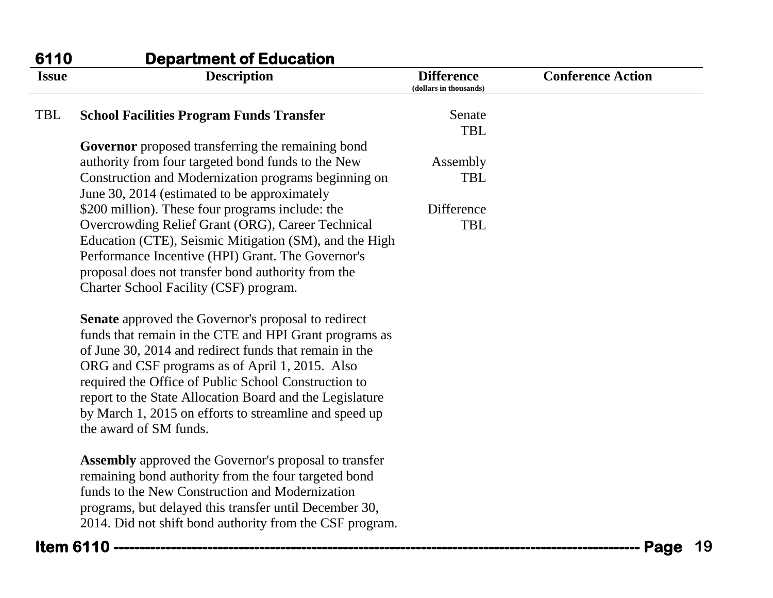| 6110         | <b>Department of Education</b>                                                                                                                                                 |                                             |                          |    |
|--------------|--------------------------------------------------------------------------------------------------------------------------------------------------------------------------------|---------------------------------------------|--------------------------|----|
| <b>Issue</b> | <b>Description</b>                                                                                                                                                             | <b>Difference</b><br>(dollars in thousands) | <b>Conference Action</b> |    |
| <b>TBL</b>   | <b>School Facilities Program Funds Transfer</b>                                                                                                                                | Senate<br><b>TBL</b>                        |                          |    |
|              | Governor proposed transferring the remaining bond                                                                                                                              |                                             |                          |    |
|              | authority from four targeted bond funds to the New                                                                                                                             | Assembly                                    |                          |    |
|              | Construction and Modernization programs beginning on<br>June 30, 2014 (estimated to be approximately                                                                           | <b>TBL</b>                                  |                          |    |
|              | \$200 million). These four programs include: the                                                                                                                               | Difference                                  |                          |    |
|              | Overcrowding Relief Grant (ORG), Career Technical                                                                                                                              | <b>TBL</b>                                  |                          |    |
|              | Education (CTE), Seismic Mitigation (SM), and the High                                                                                                                         |                                             |                          |    |
|              | Performance Incentive (HPI) Grant. The Governor's                                                                                                                              |                                             |                          |    |
|              | proposal does not transfer bond authority from the<br>Charter School Facility (CSF) program.                                                                                   |                                             |                          |    |
|              |                                                                                                                                                                                |                                             |                          |    |
|              | <b>Senate</b> approved the Governor's proposal to redirect<br>funds that remain in the CTE and HPI Grant programs as<br>of June 30, 2014 and redirect funds that remain in the |                                             |                          |    |
|              | ORG and CSF programs as of April 1, 2015. Also                                                                                                                                 |                                             |                          |    |
|              | required the Office of Public School Construction to                                                                                                                           |                                             |                          |    |
|              | report to the State Allocation Board and the Legislature                                                                                                                       |                                             |                          |    |
|              | by March 1, 2015 on efforts to streamline and speed up                                                                                                                         |                                             |                          |    |
|              | the award of SM funds.                                                                                                                                                         |                                             |                          |    |
|              | <b>Assembly</b> approved the Governor's proposal to transfer                                                                                                                   |                                             |                          |    |
|              | remaining bond authority from the four targeted bond                                                                                                                           |                                             |                          |    |
|              | funds to the New Construction and Modernization                                                                                                                                |                                             |                          |    |
|              | programs, but delayed this transfer until December 30,                                                                                                                         |                                             |                          |    |
|              | 2014. Did not shift bond authority from the CSF program.                                                                                                                       |                                             |                          |    |
|              | Item 6110 ----------------                                                                                                                                                     |                                             | Page                     | 19 |
|              |                                                                                                                                                                                |                                             |                          |    |